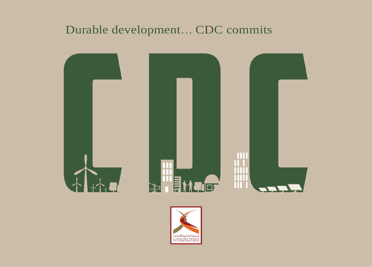### Durable development... CDC commits



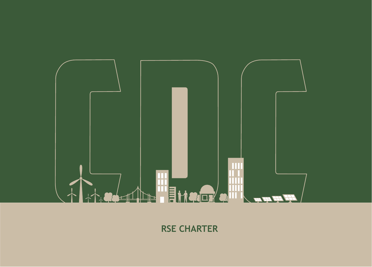

**RSE CHARTER**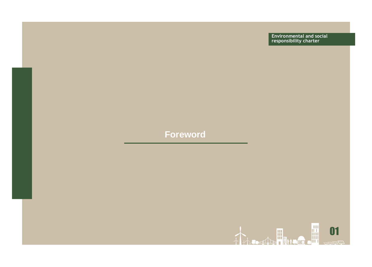#### **Foreword**

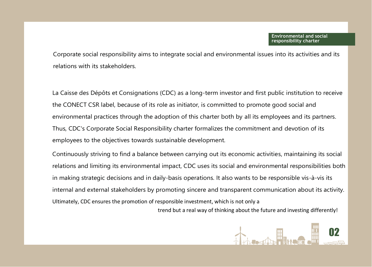Corporate social responsibility aims to integrate social and environmental issues into its activities and its relations with its stakeholders.

La Caisse des Dépôts et Consignations (CDC) as a long-term investor and first public institution to receive the CONECT CSR label, because of its role as initiator, is committed to promote good social and environmental practices through the adoption of this charter both by all its employees and its partners. Thus, CDC's Corporate Social Responsibility charter formalizes the commitment and devotion of its employees to the objectives towards sustainable development.

Continuously striving to find a balance between carrying out its economic activities, maintaining its social relations and limiting its environmental impact, CDC uses its social and environmental responsibilities both in making strategic decisions and in daily-basis operations. It also wants to be responsible vis-à-vis its internal and external stakeholders by promoting sincere and transparent communication about its activity. Ultimately, CDC ensures the promotion of responsible investment, which is not only a

trend but a real way of thinking about the future and investing differently!

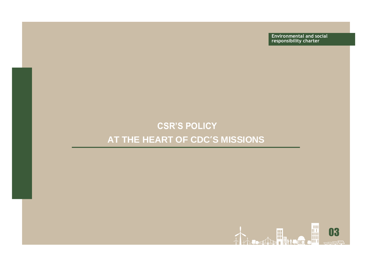## LA CDC MET SA POLITIQUE RSE **CSR'S POLICY AT THE HEART OF CDC'S MISSIONS**

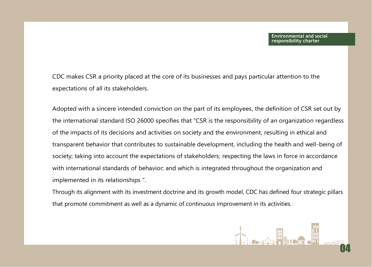A HARACTER TRACTALLY

04

CDC makes CSR a priority placed at the core of its businesses and pays particular attention to the expectations of all its stakeholders.

Adopted with a sincere intended conviction on the part of its employees, the definition of CSR set out by the international standard ISO 26000 specifies that "CSR is the responsibility of an organization regardless of the impacts of its decisions and activities on society and the environment, resulting in ethical and transparent behavior that contributes to sustainable development, including the health and well-being of society; taking into account the expectations of stakeholders; respecting the laws in force in accordance with international standards of behavior; and which is integrated throughout the organization and implemented in its relationships ".

Through its alignment with its investment doctrine and its growth model, CDC has defined four strategic pillars that promote commitment as well as a dynamic of continuous improvement in its activities.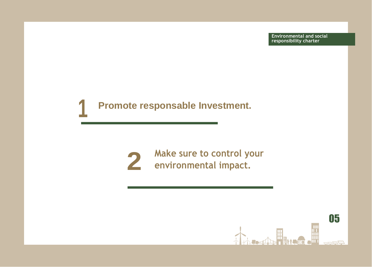#### **1 Promote responsable Investment.**



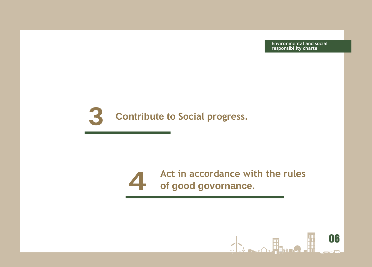



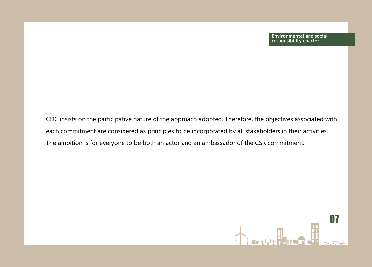CDC insists on the participative nature of the approach adopted. Therefore, the objectives associated with each commitment are considered as principles to be incorporated by all stakeholders in their activities. The ambition is for everyone to be both an actor and an ambassador of the CSR commitment.

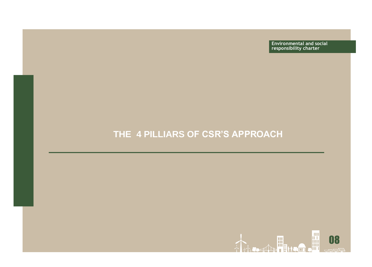#### **THE 4 PILLIARS OF CSR'S APPROACH**

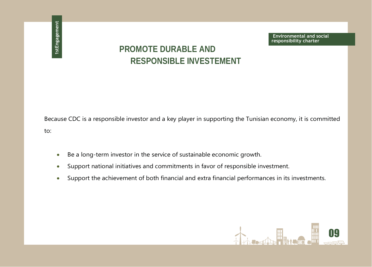# 1stEngagement **1stEngagement**

**Charte de responsabilité sociétale Environmental and social et environnementale responsibility charter**

#### **PROMOTE DURABLE AND RESPONSIBLE INVESTEMENT**

Because CDC is a responsible investor and a key player in supporting the Tunisian economy, it is committed to:

- Be a long-term investor in the service of sustainable economic growth.
- Support national initiatives and commitments in favor of responsible investment.
- Support the achievement of both financial and extra financial performances in its investments.

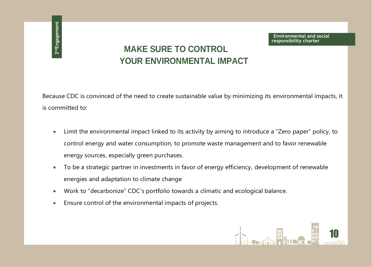#### **MAKE SURE TO CONTROL YOUR ENVIRONMENTAL IMPACT**

**Environmental and social responsibility charter**

Because CDC is convinced of the need to create sustainable value by minimizing its environmental impacts, it is committed to:

- Limit the environmental impact linked to its activity by aiming to introduce a "Zero paper" policy, to control energy and water consumption, to promote waste management and to favor renewable energy sources, especially green purchases.
- To be a strategic partner in investments in favor of energy efficiency, development of renewable energies and adaptation to climate change
- Work to "decarbonize" CDC's portfolio towards a climatic and ecological balance.
- Ensure control of the environmental impacts of projects.

2<sup>nd</sup>Engagement **2ndEngagement** 

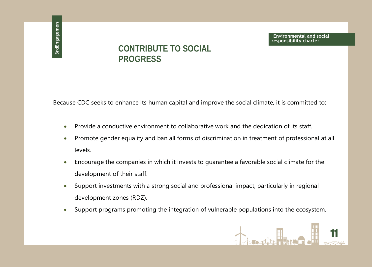#### **3rdEngagemen 3rdEngagemen t**

#### **Environmental and social responsibility charter**

#### **CONTRIBUTE TO SOCIAL PROGRESS**

Because CDC seeks to enhance its human capital and improve the social climate, it is committed to:

- Provide a conductive environment to collaborative work and the dedication of its staff.
- Promote gender equality and ban all forms of discrimination in treatment of professional at all levels.
- Encourage the companies in which it invests to guarantee a favorable social climate for the development of their staff.
- Support investments with a strong social and professional impact, particularly in regional development zones (RDZ).
- Support programs promoting the integration of vulnerable populations into the ecosystem.

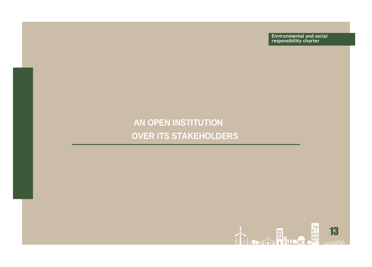# LA CDC MET SA POLITIQUE RSE **AN OPEN INSTITUTION**  AU COEUR DES SES MISSIONS **OVER ITS STAKEHOLDERS**

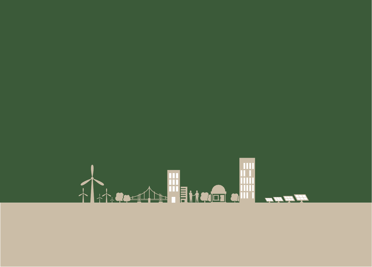